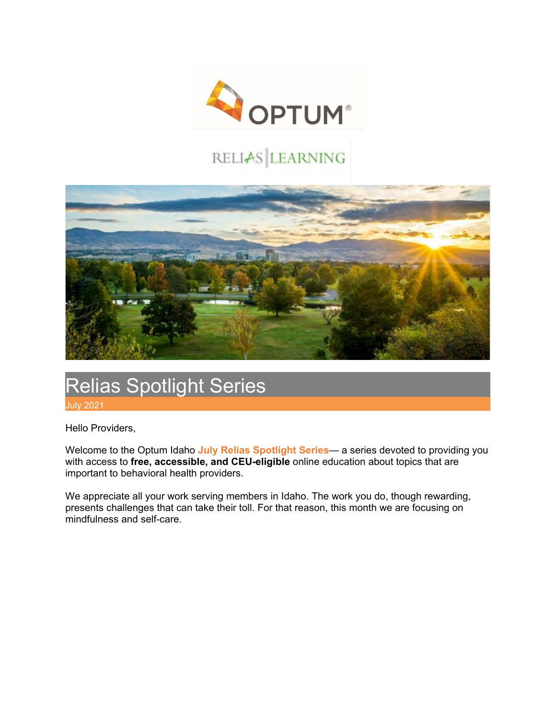

# RELIAS LEARNING



# Relias Spotlight Series July 2021

Hello Providers,

Welcome to the Optum Idaho **July Relias Spotlight Series**— a series devoted to providing you with access to **free, accessible, and CEU-eligible** online education about topics that are important to behavioral health providers.

We appreciate all your work serving members in Idaho. The work you do, though rewarding, presents challenges that can take their toll. For that reason, this month we are focusing on mindfulness and self-care.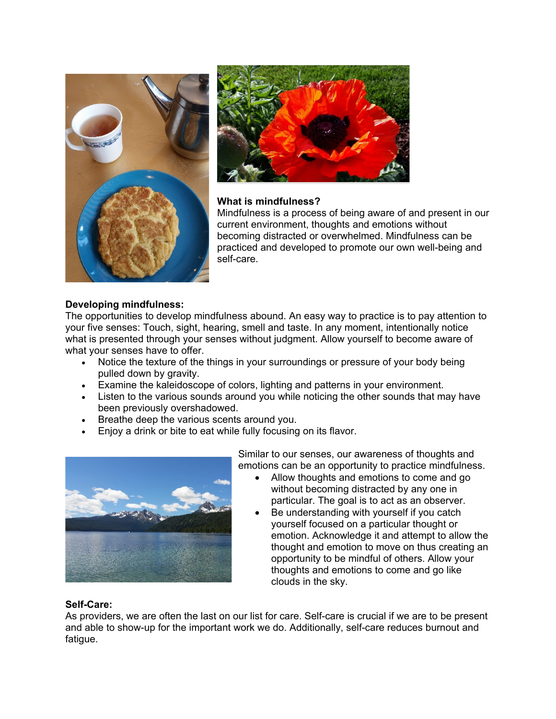



#### **What is mindfulness?**

Mindfulness is a process of being aware of and present in our current environment, thoughts and emotions without becoming distracted or overwhelmed. Mindfulness can be practiced and developed to promote our own well-being and self-care.

# **Developing mindfulness:**

The opportunities to develop mindfulness abound. An easy way to practice is to pay attention to your five senses: Touch, sight, hearing, smell and taste. In any moment, intentionally notice what is presented through your senses without judgment. Allow yourself to become aware of what your senses have to offer.

- Notice the texture of the things in your surroundings or pressure of your body being pulled down by gravity.
- Examine the kaleidoscope of colors, lighting and patterns in your environment.
- Listen to the various sounds around you while noticing the other sounds that may have been previously overshadowed.
- Breathe deep the various scents around you.
- Enjoy a drink or bite to eat while fully focusing on its flavor.



Similar to our senses, our awareness of thoughts and emotions can be an opportunity to practice mindfulness.

- Allow thoughts and emotions to come and go without becoming distracted by any one in particular. The goal is to act as an observer.
- Be understanding with yourself if you catch yourself focused on a particular thought or emotion. Acknowledge it and attempt to allow the thought and emotion to move on thus creating an opportunity to be mindful of others. Allow your thoughts and emotions to come and go like clouds in the sky.

## **Self-Care:**

As providers, we are often the last on our list for care. Self-care is crucial if we are to be present and able to show-up for the important work we do. Additionally, self-care reduces burnout and fatigue.